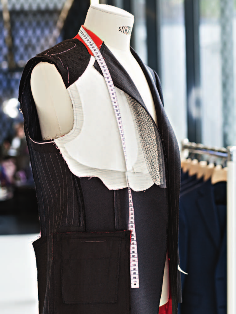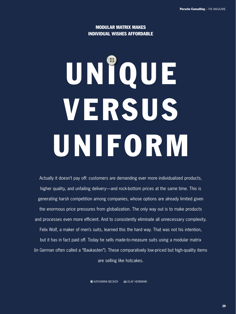MODULAR MATRIX MAKES INDIVIDUAL WIShES AFFORDABLE

# UNIQUE VERSUS UNIFORM

Actually it doesn't pay off: customers are demanding ever more individualized products, higher quality, and unfailing delivery—and rock-bottom prices at the same time. This is generating harsh competition among companies, whose options are already limited given the enormous price pressures from globalization. The only way out is to make products and processes even more efficient. And to consistently eliminate all unnecessary complexity. Felix Wolf, a maker of men's suits, learned this the hard way. That was not his intention, but it has in fact paid off . Today he sells made-to-measure suits using a modular matrix (in German often called a "Baukasten"). These comparatively low-priced but high-quality items are selling like hotcakes.

**A KATHARINA BECKER © OLAF HERMANN**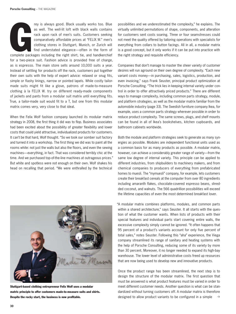Complete pack rey is always good. Black usually works too. Blue as well. The well-lit loft with black walls contains rack upon rack of men's suits. Customers seeking comparatively affordable prices at "FELIX W." men's clothing stores in Stuttgart, Munich, or Zurich will find understated elegance—often in the form of complete packages including the right shirt, tie, and handkerchief for a two-piece suit. Fashion advice is provided free of charge, as is espresso. The main store sells around 10,000 suits a year. Instead of settling for products off the rack, customers put together their own suits with the help of expert advice: relaxed or snug fits, simple or flashy linings, narrow or pointed lapels. While costly tailormade suits might fit like a glove, patrons of made-to-measure clothing à la FELIX W. try on different ready-made components of jackets and pants from a modular suit matrix until everything fits. True, a tailor-made suit would fit to a T, but one from this modular matrix comes very, very close to that ideal.

When the Felix Wolf fashion company launched its modular matrix strategy in 2008, the first thing it did was to flop. Business associates had been excited about the possibility of greater flexibility and lower costs that could yield attractive, individualized products for customers. It can't be that hard, Wolf thought. "So we took our somber suit factory and turned it into a workshop. The first thing we did was to paint all the rooms white: not just the walls but also the floors, and even the sewing machines—everything, in fact. That was considered terribly chic at the time. And we purchased top-of-the-line machines at outrageous prices." But white and spotless were not enough on their own. Wolf shakes his head on recalling that period. "We were enthralled by the technical



Stuttgart-based clothing entrepreneur Felix Wolf uses a modular matrix principle to offer customers made-to-measure suits and shirts. Despite the rocky start, the business is now profitable.

possibilities and we underestimated the complexity," he explains. The virtually unlimited permutations of shape, components, and alteration for customers sent costs soaring. Three or four seamstresses could not meet the quality offered by tailoring operations with specialists for everything from collars to button facings. All in all, a modular matrix is a good concept, but it only works if it can be put into practice with the right strategy and requisite efficiency.

Companies that don't manage to master the sheer variety of customer desires will run aground on their own degree of complexity. "Each new variant costs money—in purchasing, sales, logistics, production, and even invoicing," says Frank Seuster, principal product optimization at Porsche Consulting. "The trick lies in keeping internal variety under control in order to offer attractively priced products." There are different ways to manage complexity, including common parts strategy, module, and platform strategies, as well as the modular matrix familiar from the automobile industry (page 33). The Swedish furniture company Ikea, for example, uses a common parts strategy wherever possible in order to reduce product complexity. The same screws, plugs, and shelf mounts can be found in all of Ikea's bookshelves, kitchen cupboards, and bathroom cabinets worldwide.

Both the module and platform strategies seek to generate as many synergies as possible. Modules are independent functional units used as a common basis for as many products as possible. A modular matrix, however, can achieve a considerably greater range of variety—from the same low degree of internal variety. This principle can be applied to different industries, from shipbuilders to machinery makers, and from chemical companies to producers of everything from prefabricated homes to muesli. The "mymuesli" company, for example, lets customers create their breakfast cereals at the computer from over 80 ingredients including amaranth flakes, chocolate-covered espresso beans, shredded coconut, and walnuts. The 566 quadrillion possibilities will exceed the lifetime capacities of even the most determined breakfast lover.

"A modular matrix combines platforms, modules, and common parts within a shared architecture," says Seuster. It all starts with the question of what the customer wants. When lists of products with their special features and individual parts start covering entire walls, the excessive complexity simply cannot be ignored. "It often happens that 95 percent of a product's variants account for only five percent of total sales," notes Seuster. Following this "aha" experience, the Viega company streamlined its range of sanitary and heating systems with the help of Porsche Consulting, reducing some of its variety by more than 30 percent. Moreover, it no longer needed to expand its high-bay warehouse. The lower level of administrative costs freed up resources that are now being used to develop new and innovative products.

 $\rightarrow$ Once the product range has been streamlined, the next step is to design the structure of the modular matrix. The first question that must be answered is what product features must be varied in order to meet different customer needs. Another question is what can be standardized without turning customers off. A modular matrix is therefore designed to allow product variants to be configured in a simple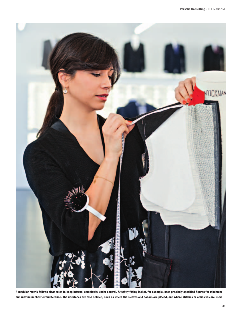

A modular matrix follows clear rules to keep internal complexity under control. A tightly fitting jacket, for example, uses precisely specified figures for minimum and maximum chest circumference. The interfaces are also defined, such as where the sleeves and collars are placed, and where stitches or adhesives are used.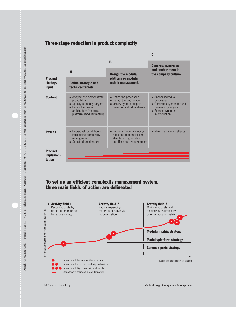## Three-stage reduction in product complexity



# To set up an efficient complexity management system, three main fields of action are delineated



Porsche Consulting GmbH – Porschestrasse 1 – 74321 Bietigheim-Bissingen – Germany – Telephone: +49-711-911-12111 – E-mail: contact@porsche-consulting.com – Internet: www.porsche-consulting.com

Porsche Consulting GmbH - Porschestrasse 1 - 74321 Bietigheim-Bissingen - Germany - Telephone: 449-711-91111 - E-mail: contact@porsche-consulting.com - Internet: www.porsche-consulting.com

© Porsche Consulting Methodology: Complexity Management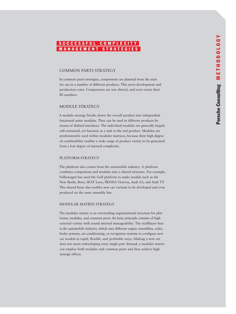# S U C C E S S F U L C O M P L E X I T Y MANAGEMENT STRATEGIES

## COMMON PARTS STRATEGY

In common parts strategies, components are planned from the start for use in a number of different products. This saves development and production costs. Components are not altered, and even retain their ID numbers.

### MODULE STRATEGY

A module strategy breaks down the overall product into independent functional units: modules. They can be used in different products by means of defined interfaces. The individual modules are generally largely self-contained, yet function as a unit in the end product. Modules are predominately used within modular matrices, because their high degree of combinability enables a wide range of product variety to be generated from a low degree of internal complexity.

## PLATFORM STRATEGY

The platform idea comes from the automobile industry. A platform combines components and modules into a shared structure. For example, Volkswagen has used the Golf platform to make models such as the New Beetle, Bora, SEAT Leon, ŠKODA Octavia, Audi A3, and Audi TT. This shared basis also enables new car variants to be developed and even produced on the same assembly line.

#### MODULAR MATRIX STRATEGY

The modular matrix is an overarching organizational structure for plat forms, modules, and common parts. Its basic principle consists of high external variety with sound internal manageability. The trailblazer here is the automobile industry, which uses different engine assemblies, axles, brake systems, air-conditioning, or navigation systems to configure new car models in rapid, flexible, and profitable ways. Making a new car does not mean redeveloping every single part. Instead, a modular matrix can employ both modules and common parts and thus achieve high synergy effects.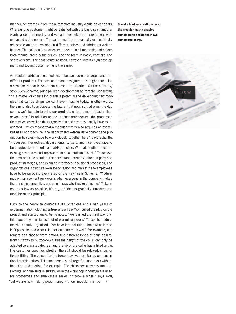manner. An example from the automotive industry would be car seats. Whereas one customer might be satisfied with the basic seat, another wants a comfort model, and yet another selects a sports seat with enhanced side support. The seats need to be manually or electrically adjustable and are available in different colors and fabrics as well as leather. The solution is to offer seat covers in all materials and colors, both manual and electric drives, and the foam in basic, comfort, and sport versions. The seat structure itself, however, with its high development and tooling costs, remains the same.

A modular matrix enables modules to be used across a large number of different products. For developers and designers, this might sound like a straitjacket that leaves them no room to breathe. "On the contrary," says Sven Schärffe, principal lean development at Porsche Consulting. "It's a matter of channeling creative potential and developing new modules that can do things we can't even imagine today. In other words, the aim is also to anticipate the future right now, so that when the day comes we'll be able to bring our products onto the market faster than anyone else." In addition to the product architecture, the processes themselves as well as their organization and strategy usually have to be adapted—which means that a modular matrix also requires an overall business approach. "All the departments—from development and production to sales—have to work closely together here," says Schärffe. "Processes, hierarchies, departments, targets, and incentives have to be adapted to the modular matrix principle. We make optimum use of existing structures and improve them on a continuous basis." To achieve the best possible solution, the consultants scrutinize the company and product strategies, and examine interfaces, decisional processes, and organizational structures—in every region and market. "The employees have to be on board every step of the way," says Schärffe. "Modular matrix management only works when everyone in the company makes the principle come alive, and also knows why they're doing so." To keep costs as low as possible, it's a good idea to gradually introduce the modular matrix principle.

Back to the nearly tailor-made suits. After one and a half years of experimentation, clothing entrepreneur Felix Wolf pulled the plug on the project and started anew. As he notes, "We learned the hard way that this type of system takes a lot of preliminary work." Today his modular matrix is tautly organized. "We have internal rules about what is and isn't possible, and clear rules for customers as well." For example, customers can choose from among five different types of shirt collars: from cutaway to button-down. But the height of the collar can only be adapted to a limited degree, and the tip of the collar has a fixed angle. The customer specifies whether the suit should be relaxed, snug, or tightly fitting. The pieces for the torso, however, are based on conventional clothing sizes. This can mean a surcharge for customers with an imposing mid-section, for example. The shirts are currently made in Portugal and the suits in Turkey, while the workshop in Stuttgart is used for prototypes and small-scale series. "It took a while," says Wolf, "but we are now making good money with our modular matrix."  $\epsilon$ 

One of a kind versus off the rack: the modular matrix enables customers to design their own customized shirts.